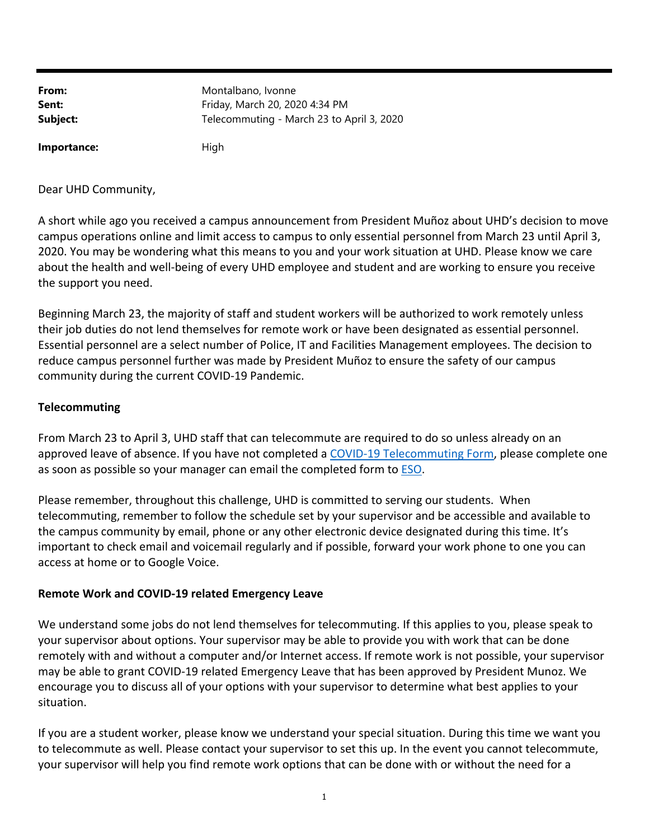| From:    | Montalbano, Ivonne                        |
|----------|-------------------------------------------|
| Sent:    | Friday, March 20, 2020 4:34 PM            |
| Subject: | Telecommuting - March 23 to April 3, 2020 |
|          |                                           |

Dear UHD Community,

**Importance:** High

A short while ago you received a campus announcement from President Muñoz about UHD's decision to move campus operations online and limit access to campus to only essential personnel from March 23 until April 3, 2020. You may be wondering what this means to you and your work situation at UHD. Please know we care about the health and well‐being of every UHD employee and student and are working to ensure you receive the support you need.

Beginning March 23, the majority of staff and student workers will be authorized to work remotely unless their job duties do not lend themselves for remote work or have been designated as essential personnel. Essential personnel are a select number of Police, IT and Facilities Management employees. The decision to reduce campus personnel further was made by President Muñoz to ensure the safety of our campus community during the current COVID‐19 Pandemic.

## **Telecommuting**

From March 23 to April 3, UHD staff that can telecommute are required to do so unless already on an approved leave of absence. If you have not completed a COVID-19 Telecommuting Form, please complete one as soon as possible so your manager can email the completed form to **ESO**.

Please remember, throughout this challenge, UHD is committed to serving our students. When telecommuting, remember to follow the schedule set by your supervisor and be accessible and available to the campus community by email, phone or any other electronic device designated during this time. It's important to check email and voicemail regularly and if possible, forward your work phone to one you can access at home or to Google Voice.

## **Remote Work and COVID‐19 related Emergency Leave**

We understand some jobs do not lend themselves for telecommuting. If this applies to you, please speak to your supervisor about options. Your supervisor may be able to provide you with work that can be done remotely with and without a computer and/or Internet access. If remote work is not possible, your supervisor may be able to grant COVID‐19 related Emergency Leave that has been approved by President Munoz. We encourage you to discuss all of your options with your supervisor to determine what best applies to your situation.

If you are a student worker, please know we understand your special situation. During this time we want you to telecommute as well. Please contact your supervisor to set this up. In the event you cannot telecommute, your supervisor will help you find remote work options that can be done with or without the need for a